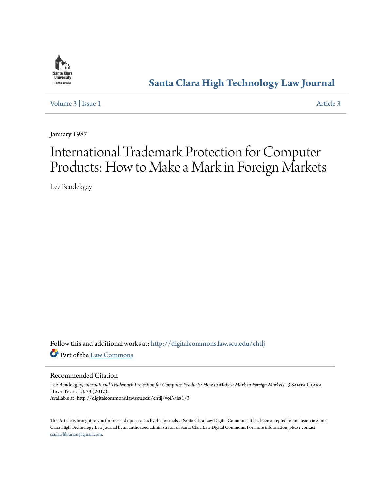

## **[Santa Clara High Technology Law Journal](http://digitalcommons.law.scu.edu/chtlj?utm_source=digitalcommons.law.scu.edu%2Fchtlj%2Fvol3%2Fiss1%2F3&utm_medium=PDF&utm_campaign=PDFCoverPages)**

[Volume 3](http://digitalcommons.law.scu.edu/chtlj/vol3?utm_source=digitalcommons.law.scu.edu%2Fchtlj%2Fvol3%2Fiss1%2F3&utm_medium=PDF&utm_campaign=PDFCoverPages) | [Issue 1](http://digitalcommons.law.scu.edu/chtlj/vol3/iss1?utm_source=digitalcommons.law.scu.edu%2Fchtlj%2Fvol3%2Fiss1%2F3&utm_medium=PDF&utm_campaign=PDFCoverPages) [Article 3](http://digitalcommons.law.scu.edu/chtlj/vol3/iss1/3?utm_source=digitalcommons.law.scu.edu%2Fchtlj%2Fvol3%2Fiss1%2F3&utm_medium=PDF&utm_campaign=PDFCoverPages)

January 1987

# International Trademark Protection for Computer Products: How to Make a Mark in Foreign Markets

Lee Bendekgey

Follow this and additional works at: [http://digitalcommons.law.scu.edu/chtlj](http://digitalcommons.law.scu.edu/chtlj?utm_source=digitalcommons.law.scu.edu%2Fchtlj%2Fvol3%2Fiss1%2F3&utm_medium=PDF&utm_campaign=PDFCoverPages) Part of the [Law Commons](http://network.bepress.com/hgg/discipline/578?utm_source=digitalcommons.law.scu.edu%2Fchtlj%2Fvol3%2Fiss1%2F3&utm_medium=PDF&utm_campaign=PDFCoverPages)

#### Recommended Citation

Lee Bendekgey, *International Trademark Protection for Computer Products: How to Make a Mark in Foreign Markets*, 3 SANTA CLARA High Tech. L.J. 73 (2012). Available at: http://digitalcommons.law.scu.edu/chtlj/vol3/iss1/3

This Article is brought to you for free and open access by the Journals at Santa Clara Law Digital Commons. It has been accepted for inclusion in Santa Clara High Technology Law Journal by an authorized administrator of Santa Clara Law Digital Commons. For more information, please contact [sculawlibrarian@gmail.com](mailto:sculawlibrarian@gmail.com).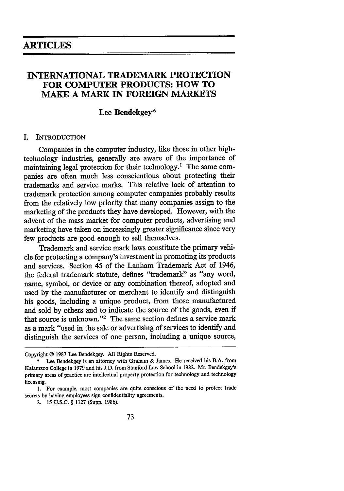### **INTERNATIONAL TRADEMARK PROTECTION FOR COMPUTER PRODUCTS: HOW TO MAKE A MARK IN FOREIGN MARKETS**

#### **Lee Bendekgey\***

#### I. INTRODUCTION

Companies in the computer industry, like those in other hightechnology industries, generally are aware of the importance of maintaining legal protection for their technology.' The same companies are often much less conscientious about protecting their trademarks and service marks. This relative lack of attention to trademark protection among computer companies probably results from the relatively low priority that many companies assign to the marketing of the products they have developed. However, with the advent of the mass market for computer products, advertising and marketing have taken on increasingly greater significance since very few products are good enough to sell themselves.

Trademark and service mark laws constitute the primary vehicle for protecting a company's investment in promoting its products and services. Section 45 of the Lanham Trademark Act of 1946, the federal trademark statute, defines "trademark" as "any word, name, symbol, or device or any combination thereof, adopted and used by the manufacturer or merchant to identify and distinguish his goods, including a unique product, from those manufactured and sold by others and to indicate the source of the goods, even if that source is unknown."<sup>2</sup> The same section defines a service mark as a mark "used in the sale or advertising of services to identify and distinguish the services of one person, including a unique source,

Copyright © 1987 Lee Bendekgey. All Rights Reserved.

Lee Bendekgey is an attorney with Graham & James. He received his B.A. from Kalamzoo College in 1979 and his J.D. from Stanford Law School in 1982. Mr. Bendekgey's primary areas of practice are intellectual property protection for technology and technology licensing.

<sup>1.</sup> For example, most companies are quite conscious of the need to protect trade secrets by having employees sign confidentiality agreements.

<sup>2. 15</sup> U.S.C. § 1127 (Supp. 1986).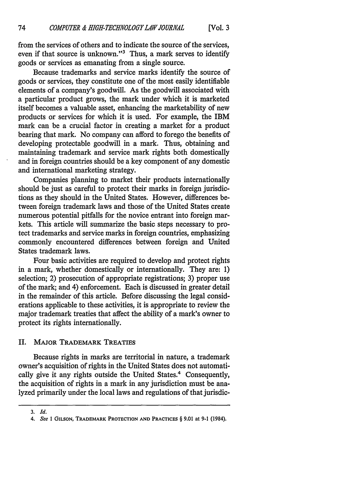from the services of others and to indicate the source of the services, even if that source is unknown."<sup>3</sup> Thus, a mark serves to identify goods or services as emanating from a single source.

Because trademarks and service marks identify the source of goods or services, they constitute one of the most easily identifiable elements of a company's goodwill. As the goodwill associated with a particular product grows, the mark under which it is marketed itself becomes a valuable asset, enhancing the marketability of new products or services for which it is used. For example, the IBM mark can be a crucial factor in creating a market for a product bearing that mark. No company can afford to forego the benefits of developing protectable goodwill in a mark. Thus, obtaining and maintaining trademark and service mark rights both domestically and in foreign countries should be a key component of any domestic and international marketing strategy.

Companies planning to market their products internationally should be just as careful to protect their marks in foreign jurisdictions as they should in the United States. However, differences between foreign trademark laws and those of the United States create numerous potential pitfalls for the novice entrant into foreign markets. This article will summarize the basic steps necessary to protect trademarks and service marks in foreign countries, emphasizing commonly encountered differences between foreign and United States trademark laws.

Four basic activities are required to develop and protect rights in a mark, whether domestically or internationally. They are: 1) selection; 2) prosecution of appropriate registrations; 3) proper use of the mark; and 4) enforcement. Each is discussed in greater detail in the remainder of this article. Before discussing the legal considerations applicable to these activities, it is appropriate to review the major trademark treaties that affect the ability of a mark's owner to protect its rights internationally.

#### II. MAJOR TRADEMARK TREATIES

Because rights in marks are territorial in nature, a trademark owner's acquisition of rights in the United States does not automatically give it any rights outside the United States.<sup>4</sup> Consequently, the acquisition of fights in a mark in any jurisdiction must be analyzed primarily under the local laws and regulations of that jurisdic-

*<sup>3.</sup> Id.*

*<sup>4.</sup> See I* GILSON, **TRADEMARK** PROTECTION **AND** PRACTICES § **9.01** at **9-1** (1984).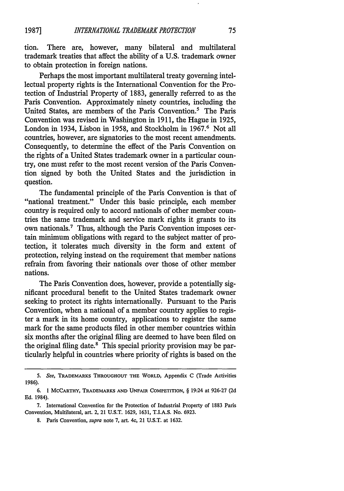tion. There are, however, many bilateral and multilateral trademark treaties that affect the ability of a U.S. trademark owner to obtain protection in foreign nations.

Perhaps the most important multilateral treaty governing intellectual property rights is the International Convention for the Protection of Industrial Property of 1883, generally referred to as the Paris Convention. Approximately ninety countries, including the United States, are members of the Paris Convention.<sup>5</sup> The Paris Convention was revised in Washington in 1911, the Hague in 1925, London in 1934, Lisbon in 1958, and Stockholm in 1967.<sup>6</sup> Not all countries, however, are signatories to the most recent amendments. Consequently, to determine the effect of the Paris Convention on the rights of a United States trademark owner in a particular country, one must refer to the most recent version of the Paris Convention signed by both the United States and the jurisdiction in question.

The fundamental principle of the Paris Convention is that of "national treatment." Under this basic principle, each member country is required only to accord nationals of other member countries the same trademark and service mark rights it grants to its own nationals.7 Thus, although the Paris Convention imposes certain minimum obligations with regard to the subject matter of protection, it tolerates much diversity in the form and extent of protection, relying instead on the requirement that member nations refrain from favoring their nationals over those of other member nations.

The Paris Convention does, however, provide a potentially significant procedural benefit to the United States trademark owner seeking to protect its rights internationally. Pursuant to the Paris Convention, when a national of a member country applies to register a mark in its home country, applications to register the same mark for the same products filed in other member countries within six months after the original filing are deemed to have been filed on the original filing date. $^8$  This special priority provision may be particularly helpful in countries where priority of rights is based on the

**<sup>5.</sup>** *See,* **TRADEMARKS THROUGHOUT THE WORLD,** Appendix **C** (Trade Activities **1986).**

**<sup>6. 1</sup>** MCCARTHY, TRADEMARKS **AND UNFAIR** COMPETITION, § 19:24 at **926-27 (2d Ed.** 1984).

**<sup>7.</sup>** International Convention for the Protection of Industrial Property of **1883** Paris Convention, Multilateral, art. 2, 21 **U.S.T. 1629, 1631,** T.I.A.S. No. **6923.**

**<sup>8.</sup>** Paris Convention, *supra* note **7,** art. 4c, 21 **U.S.T.** at **1632.**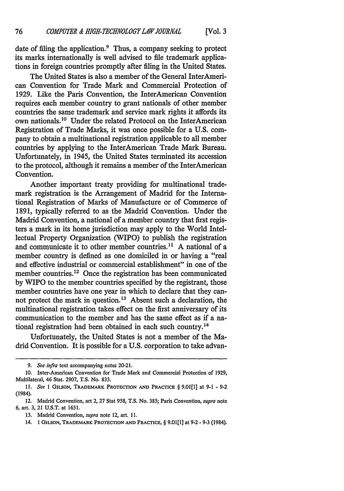date of filing the application.<sup>9</sup> Thus, a company seeking to protect its marks internationally is well advised to file trademark applications in foreign countries promptly after filing in the United States.

The United States is also a member of the General InterAmerican Convention for Trade Mark and Commercial Protection of 1929. Like the Paris Convention, the InterAmerican Convention requires each member country to grant nationals of other member countries the same trademark and service mark rights it affords its own nationals. 10 Under the related Protocol on the InterAmerican Registration of Trade Marks, it was once possible for a U.S. company to obtain a multinational registration applicable to all member countries by applying to the InterAmerican Trade Mark Bureau. Unfortunately, in 1945, the United States terminated its accession to the protocol, although it remains a member of the InterAmerican Convention.

Another important treaty providing for multinational trademark registration is the Arrangement of Madrid for the International Registration of Marks of Manufacture or of Commerce of 1891, typically referred to as the Madrid Convention. Under the Madrid Convention, a national of a member country that first registers a mark in its home jurisdiction may apply to the World Intellectual Property Organization (WIPO) to publish the registration and communicate it to other member countries.<sup>11</sup> A national of a member country is defined as one domiciled in or having a "real and effective industrial or commercial establishment" in one of the member countries.<sup>12</sup> Once the registration has been communicated by WIPO to the member countries specified by the registrant, those member countries have one year in which to declare that they cannot protect the mark in question. 13 Absent such a declaration, the multinational registration takes effect on the first anniversary of its communication to the member and has the same effect as if a national registration had been obtained in each such country.14

Unfortunately, the United States is not a member of the Madrid Convention. It is possible for a U.S. corporation to take advan-

13. Madrid Convention, *supra* note 12, art. 11.

*<sup>9.</sup> See infra* text accompanying notes 20-21.

<sup>10.</sup> Inter-American Convention for Trade Mark and Commercial Protection of 1929, Multilateral, 46 Stat. 2907, T.S. No. 833.

**<sup>11.</sup>** *See* I **GILSON,** TRADEMARK PROTECTION **AND** PRACTICE § **9.01[l]** at **9-1 - 9-2** (1984).

<sup>12.</sup> Madrid Convention, art 2, 27 Stat **958,** T.S. No. 385; Paris Convention, *supra* note 6, art. 3, 21 U.S.T. at 1631.

<sup>14. 1</sup> **GILSON,** TRADEMARK PROTECTION **AND PRACTICE,** § **9.01[11]** at **9-2 - 9-3** (1984).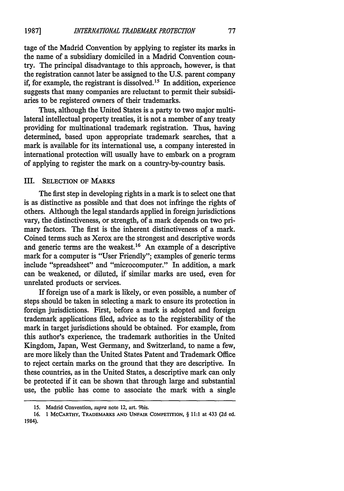tage of the Madrid Convention by applying to register its marks in the name of a subsidiary domiciled in a Madrid Convention country. The principal disadvantage to this approach, however, is that the registration cannot later be assigned to the U.S. parent company if, for example, the registrant is dissolved.<sup>15</sup> In addition, experience suggests that many companies are reluctant to permit their subsidiaries to be registered owners of their trademarks.

Thus, although the United States is a party to two major multilateral intellectual property treaties, it is not a member of any treaty providing for multinational trademark registration. Thus, having determined, based upon appropriate trademark searches, that a mark is available for its international use, a company interested in international protection will usually have to embark on a program of applying to register the mark on a country-by-country basis.

#### III. SELECTION OF MARKS

The first step in developing rights in a mark is to select one that is as distinctive as possible and that does not infringe the rights of others. Although the legal standards applied in foreign jurisdictions vary, the distinctiveness, or strength, of a mark depends on two primary factors. The first is the inherent distinctiveness of a mark. Coined terms such as Xerox are the strongest and descriptive words and generic terms are the weakest.<sup>16</sup> An example of a descriptive mark for a computer is "User Friendly"; examples of generic terms include "spreadsheet" and "microcomputer." In addition, a mark can be weakened, or diluted, if similar marks are used, even for unrelated products or services.

If foreign use of a mark is likely, or even possible, a number of steps should be taken in selecting a mark to ensure its protection in foreign jurisdictions. First, before a mark is adopted and foreign trademark applications filed, advice as to the registerability of the mark in target jurisdictions should be obtained. For example, from this author's experience, the trademark authorities in the United Kingdom, Japan, West Germany, and Switzerland, to name a few, are more likely than the United States Patent and Trademark Office to reject certain marks on the ground that they are descriptive. In these countries, as in the United States, a descriptive mark can only be protected if it can be shown that through large and substantial use, the public has come to associate the mark with a single

**<sup>15.</sup>** Madrid Convention, *supra* note 12, art. 9bis.

**<sup>16. 1</sup> MCCARTHY, TRADEMARKS AND UNFAIR COMPETITION,** § **11:1 at 433 (2d ed.** 1984).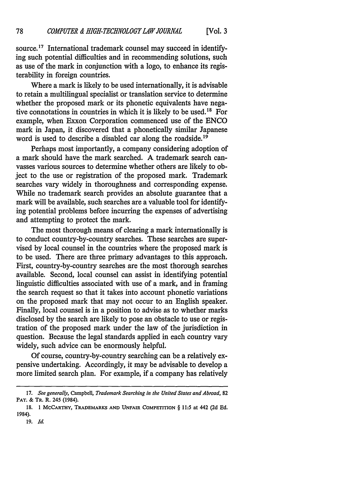source. **17** International trademark counsel may succeed in identifying such potential difficulties and in recommending solutions, such as use of the mark in conjunction with a logo, to enhance its registerability in foreign countries.

Where a mark is likely to be used internationally, it is advisable to retain a multilingual specialist or translation service to determine whether the proposed mark or its phonetic equivalents have negative connotations in countries in which it is likely to be used.<sup>18</sup> For example, when Exxon Corporation commenced use of the ENCO mark in Japan, it discovered that a phonetically similar Japanese word is used to describe a disabled car along the roadside.<sup>19</sup>

Perhaps most importantly, a company considering adoption of a mark should have the mark searched. A trademark search canvasses various sources to determine whether others are likely to object to the use or registration of the proposed mark. Trademark searches vary widely in thoroughness and corresponding expense. While no trademark search provides an absolute guarantee that a mark will be available, such searches are a valuable tool for identifying potential problems before incurring the expenses of advertising and attempting to protect the mark.

The most thorough means of clearing a mark internationally is to conduct country-by-country searches. These searches are supervised by local counsel in the countries where the proposed mark is to be used. There are three primary advantages to this approach. First, country-by-country searches are the most thorough searches available. Second, local counsel can assist in identifying potential linguistic difficulties associated with use of a mark, and in framing the search request so that it takes into account phonetic variations on the proposed mark that may not occur to an English speaker. Finally, local counsel is in a position to advise as to whether marks disclosed by the search are likely to pose an obstacle to use or registration of the proposed mark under the law of the jurisdiction in question. Because the legal standards applied in each country vary widely, such advice can be enormously helpful.

Of course, country-by-country searching can be a relatively expensive undertaking. Accordingly, it may be advisable to develop a more limited search plan. For example, if a company has relatively

**<sup>17.</sup>** *See generally,* Campbell, *Trademark Searching in the United States and Abroad,* **82** PAT. & TR. R. 245 (1984).

**<sup>18. 1</sup> MCCARTHY, TRADEMARKS AND UNFAIR COMPETITION** § **11:5** at **442 (2d Ed. 1984).**

**<sup>19.</sup>** *Id.*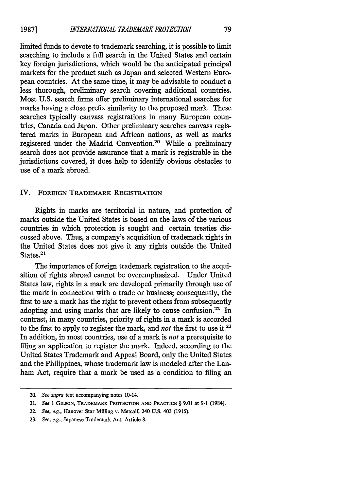limited funds to devote to trademark searching, it is possible to limit searching to include a full search in the United States and certain key foreign jurisdictions, which would be the anticipated principal markets for the product such as Japan and selected Western European countries. At the same time, it may be advisable to conduct a less thorough, preliminary search covering additional countries. Most U.S. search firms offer preliminary international searches for marks having a close prefix similarity to the proposed mark. These searches typically canvass registrations in many European countries, Canada and Japan. Other preliminary searches canvass registered marks in European and African nations, as well as marks registered under the Madrid Convention.20 While a preliminary search does not provide assurance that a mark is registrable in the jurisdictions covered, it does help to identify obvious obstacles to use of a mark abroad.

#### IV. FOREIGN TRADEMARK REGISTRATION

Rights in marks are territorial in nature, and protection of marks outside the United States is based on the laws of the various countries in which protection is sought and certain treaties discussed above. Thus, a company's acquisition of trademark rights in the United States does not give it any rights outside the United States.<sup>21</sup>

The importance of foreign trademark registration to the acquisition of rights abroad cannot be overemphasized. Under United States law, rights in a mark are developed primarily through use of the mark in connection with a trade or business; consequently, the first to *use* a mark has the right to prevent others from subsequently adopting and using marks that are likely to cause confusion.<sup>22</sup> In contrast, in many countries, priority of rights in a mark is accorded to the first to apply to register the mark, and *not* the first to use it.23 In addition, in most countries, use of a mark is *not* a prerequisite to filing an application to register the mark. Indeed, according to the United States Trademark and Appeal Board, only the United States and the Philippines, whose trademark law is modeled after the Lanham Act, require that a mark be used as a condition to filing an

<sup>20.</sup> *See supra* text accompanying notes 10-14.

<sup>21.</sup> *See* **1** GILSON, TRADEMARK PROTECTION **AND** PRACTICE § **9.01** at **9-1** (1984).

<sup>22.</sup> *See, eg.,* Hanover Star Milling v. Metcalf, 240 **U.S.** 403 **(1915).**

**<sup>23.</sup>** *See, eg.,* Japanese Trademark Act, Article **8.**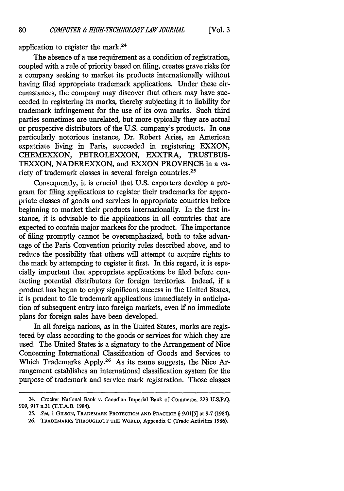application to register the mark.<sup>24</sup>

The absence of a use requirement as a condition of registration, coupled with a rule of priority based on filing, creates grave risks for a company seeking to market its products internationally without having filed appropriate trademark applications. Under these circumstances, the company may discover that others may have succeeded in registering its marks, thereby subjecting it to liability for trademark infringement for the use of its own marks. Such third parties sometimes are unrelated, but more typically they are actual or prospective distributors of the U.S. company's products. In one particularly notorious instance, Dr. Robert Aries, an American expatriate living in Paris, succeeded in registering EXXON, CHEMEXXON, PETROLEXXON, EXXTRA, TRUSTBUS-TEXXON, NADEREXXON, and EXXON PROVENCE in a variety of trademark classes in several foreign countries.25

Consequently, it is crucial that **U.S.** exporters develop a program for filing applications to register their trademarks for appropriate classes of goods and services in appropriate countries before beginning to market their products internationally. In the first instance, it is advisable to file applications in all countries that are expected to contain major markets for the product. The importance of filing promptly cannot be overemphasized, both to take advantage of the Paris Convention priority rules described above, and to reduce the possibility that others will attempt to acquire rights to the mark **by** attempting to register it first. In this regard, it is especially important that appropriate applications be filed before contacting potential distributors for foreign territories. Indeed, if a product has begun to enjoy significant success in the United States, it is prudent to file trademark applications immediately in anticipation of subsequent entry into foreign markets, even if no immediate plans for foreign sales have been developed.

In all foreign nations, as in the United States, marks are registered **by** class according to the goods or services for which they are used. The United States is a signatory to the Arrangement of Nice Concerning International Classification of Goods and Services to Which Trademarks Apply.<sup>26</sup> As its name suggests, the Nice Arrangement establishes an international classification system for the purpose of trademark and service mark registration. Those classes

<sup>24.</sup> Crocker National Bank v. Canadian Imperial Bank of Commerce, 223 **U.S.P.Q.** 909, 917 n.31 (T.T.A.B. 1984).

**<sup>25.</sup>** See, 1 **GILSON, TRADEMARK PROTECTION AND PRACTICE** § **9.01[5]** at **9-7** (1984).

<sup>26.</sup> TRADEMARKS **THROUGHOUT THE** WORLD, Appendix **C** (Trade Activities 1986).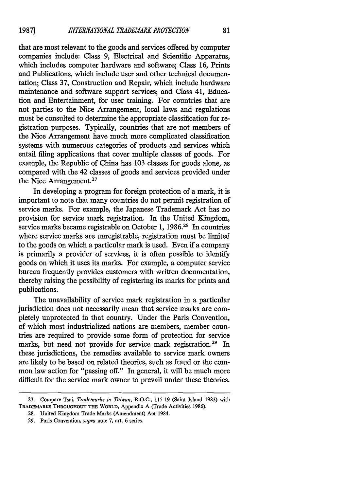that are most relevant to the goods and services offered by computer companies include: Class 9, Electrical and Scientific Apparatus, which includes computer hardware and software; Class 16, Prints and Publications, which include user and other technical documentation; Class 37, Construction and Repair, which include hardware maintenance and software support services; and Class 41, Education and Entertainment, for user training. For countries that are not parties to the Nice Arrangement, local laws and regulations must be consulted to determine the appropriate classification for registration purposes. Typically, countries that are not members of the Nice Arrangement have much more complicated classification systems with numerous categories of products and services which entail filing applications that cover multiple classes of goods. For example, the Republic of China has 103 classes for goods alone, as compared with the 42 classes of goods and services provided under the Nice Arrangement.<sup>27</sup>

In developing a program for foreign protection of a mark, it is important to note that many countries do not permit registration of service marks. For example, the Japanese Trademark Act has no provision for service mark registration. In the United Kingdom, service marks became registrable on October 1, 1986.<sup>28</sup> In countries where service marks are unregistrable, registration must be limited to the goods on which a particular mark is used. Even if a company is primarily a provider of services, it is often possible to identify goods on which it uses its marks. For example, a computer service bureau frequently provides customers with written documentation, thereby raising the possibility of registering its marks for prints and publications.

The unavailability of service mark registration in a particular jurisdiction does not necessarily mean that service marks are completely unprotected in that country. Under the Paris Convention, of which most industrialized nations are members, member countries are required to provide some form of protection for service marks, but need not provide for service mark registration.<sup>29</sup> In these jurisdictions, the remedies available to service mark owners are likely to be based on related theories, such as fraud or the common law action for "passing off." In general, it will be much more difficult for the service mark owner to prevail under these theories.

**<sup>27.</sup>** Compare Tsai, *Trademarks in Taiwan,* R.O.C., **115-19** (Saint Island **1983)** with TRADEMARKS **THROUGHOUT THE WORLD,** Appendix **A** (Trade Activities **1986).**

**<sup>28.</sup>** United Kingdom Trade Marks (Amendment) Act 1984.

**<sup>29.</sup>** Paris Convention, *supra* note **7,** art. **6** series.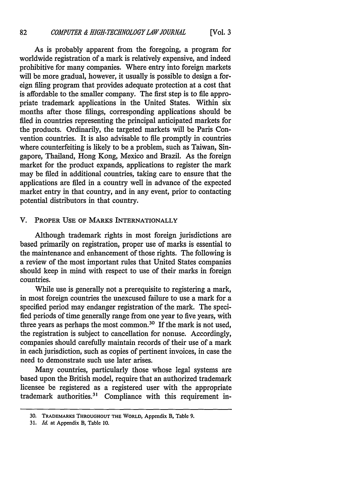As is probably apparent from the foregoing, a program for worldwide registration of a mark is relatively expensive, and indeed prohibitive for many companies. Where entry into foreign markets will be more gradual, however, it usually is possible to design a foreign filing program that provides adequate protection at a cost that is affordable to the smaller company. The first step is to file appropriate trademark applications in the United States. Within six months after those filings, corresponding applications should be filed in countries representing the principal anticipated markets for the products. Ordinarily, the targeted markets will be Paris Convention countries. It is also advisable to file promptly in countries where counterfeiting is likely to be a problem, such as Taiwan, Singapore, Thailand, Hong Kong, Mexico and Brazil. As the foreign market for the product expands, applications to register the mark may be filed in additional countries, taking care to ensure that the applications are fied in a country well in advance of the expected market entry in that country, and in any event, prior to contacting potential distributors in that country.

#### V. PROPER USE OF MARKS INTERNATIONALLY

Although trademark rights in most foreign jurisdictions are based primarily on registration, proper use of marks is essential to the maintenance and enhancement of those rights. The following is a review of the most important rules that United States companies should keep in mind with respect to use of their marks in foreign countries.

While use is generally not a prerequisite to registering a mark, in most foreign countries the unexcused failure to use a mark for a specified period may endanger registration of the mark. The specified periods of time generally range from one year to five years, with three years as perhaps the most common.30 If the mark is not used, the registration is subject to cancellation for nonuse. Accordingly, companies should carefully maintain records of their use of a mark in each jurisdiction, such as copies of pertinent invoices, in case the need to demonstrate such use later arises.

Many countries, particularly those whose legal systems are based upon the British model, require that an authorized trademark licensee be registered as a registered user with the appropriate trademark authorities.<sup>31</sup> Compliance with this requirement in-

**<sup>30.</sup>** TRADEMARKS **THROUGHOUT THE** WORLD, Appendix **B,** Table **9.**

**<sup>31.</sup>** *Id.* at Appendix **B,** Table **10.**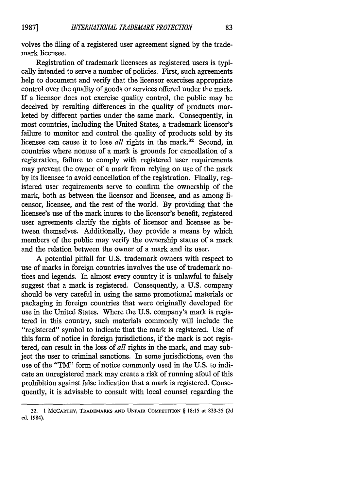volves the filing of a registered user agreement signed by the trademark licensee.

Registration of trademark licensees as registered users is typically intended to serve a number of policies. First, such agreements help to document and verify that the licensor exercises appropriate control over the quality of goods or services offered under the mark. If a licensor does not exercise quality control, the public may be deceived by resulting differences in the quality of products marketed by different parties under the same mark. Consequently, in most countries, including the United States, a trademark licensor's failure to monitor and control the quality of products sold by its licensee can cause it to lose *all* rights in the mark.<sup>32</sup> Second, in countries where nonuse of a mark is grounds for cancellation of a registration, failure to comply with registered user requirements may prevent the owner of a mark from relying on use of the mark by its licensee to avoid cancellation of the registration. Finally, registered user requirements serve to confirm the ownership of the mark, both as between the licensor and licensee, and as among licensor, licensee, and the rest of the world. By providing that the licensee's use of the mark inures to the licensor's benefit, registered user agreements clarify the rights of licensor and licensee as between themselves. Additionally, they provide a means by which members of the public may verify the ownership status of a mark and the relation between the owner of a mark and its user.

A potential pitfall for U.S. trademark owners with respect to use of marks in foreign countries involves the use of trademark notices and legends. In almost every country it is unlawful to falsely suggest that a mark is registered. Consequently, a U.S. company should be very careful in using the same promotional materials or packaging in foreign countries that were originally developed for use in the United States. Where the U.S. company's mark is registered in this country, such materials commonly will include the "registered" symbol to indicate that the mark is registered. Use of this form of notice in foreign jurisdictions, if the mark is not registered, can result in the loss of *all* rights in the mark, and may subject the user to criminal sanctions. In some jurisdictions, even the use of the "TM" form of notice commonly used in the U.S. to indicate an unregistered mark may create a risk of running afoul of this prohibition against false indication that a mark is registered. Consequently, it is advisable to consult with local counsel regarding the

**<sup>32. 1</sup> MCCARTHY, TRADEMARKS AND UNFAIR COMPETITION** § **18:15 at 833-35 (2d ed.** 1984).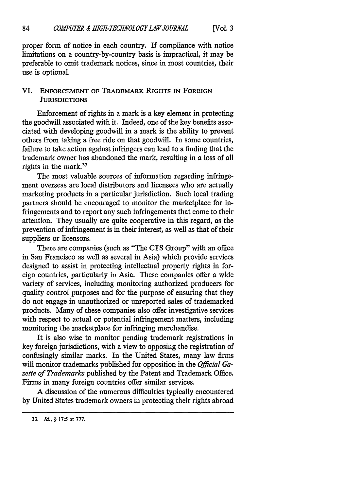proper form of notice in each country. If compliance with notice limitations on a country-by-country basis is impractical, it may be preferable to omit trademark notices, since in most countries, their use is optional.

#### VI. ENFORCEMENT OF TRADEMARK RIGHTS **IN** FOREIGN **JURISDICTIONS**

Enforcement of rights in a mark is a key element in protecting the goodwill associated with it. Indeed, one of the key benefits associated with developing goodwill in a mark is the ability to prevent others from taking a free ride on that goodwill. In some countries, failure to take action against infringers can lead to a finding that the trademark owner has abandoned the mark, resulting in a loss of all rights in the mark.33

The most valuable sources of information regarding infringement overseas are local distributors and licensees who are actually marketing products in a particular jurisdiction. Such local trading partners should be encouraged to monitor the marketplace for infringements and to report any such infringements that come to their attention. They usually are quite cooperative in this regard, as the prevention of infringement is in their interest, as well as that of their suppliers or licensors.

There are companies (such as "The CTS Group" with an office in San Francisco as well as several in Asia) which provide services designed to assist in protecting intellectual property rights in foreign countries, particularly in Asia. These companies offer a wide variety of services, including monitoring authorized producers for quality control purposes and for the purpose of ensuring that they do not engage in unauthorized or unreported sales of trademarked products. Many of these companies also offer investigative services with respect to actual or potential infringement matters, including monitoring the marketplace for infringing merchandise.

It is also wise to monitor pending trademark registrations in key foreign jurisdictions, with a view to opposing the registration of confusingly similar marks. In the United States, many law firms will monitor trademarks published for opposition in the *Official Gazette of Trademarks* published by the Patent and Trademark Office. Firms in many foreign countries offer similar services.

A discussion of the numerous difficulties typically encountered by United States trademark owners in protecting their rights abroad

**<sup>33.</sup>** *Id.,* § **17:5** at **777.**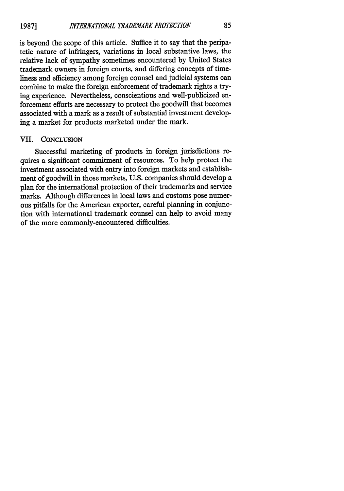is beyond the scope of this article. Suffice it to say that the peripatetic nature of infringers, variations in local substantive laws, the relative lack of sympathy sometimes encountered by United States trademark owners in foreign courts, and differing concepts of timeliness and efficiency among foreign counsel and judicial systems can combine to make the foreign enforcement of trademark rights a trying experience. Nevertheless, conscientious and well-publicized enforcement efforts are necessary to protect the goodwill that becomes associated with a mark as a result of substantial investment developing a market for products marketed under the mark.

#### VII. **CONCLUSION**

Successful marketing of products in foreign jurisdictions requires a significant commitment of resources. To help protect the investment associated with entry into foreign markets and establishment of goodwill in those markets, U.S. companies should develop a plan for the international protection of their trademarks and service marks. Although differences in local laws and customs pose numerous pitfalls for the American exporter, careful planning in conjunction with international trademark counsel can help to avoid many of the more commonly-encountered difficulties.